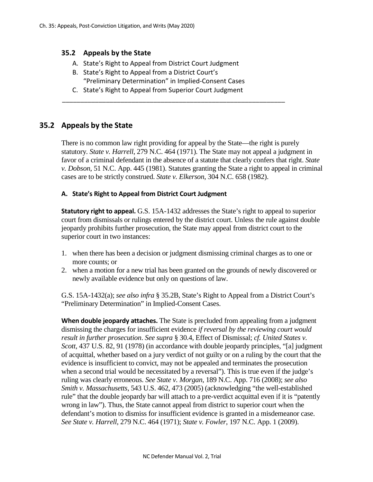### **35.2 Appeals by the State**

- A. State's Right to Appeal from District Court Judgment
- B. State's Right to Appeal from a District Court's "Preliminary Determination" in Implied-Consent Cases
- C. State's Right to Appeal from Superior Court Judgment

\_\_\_\_\_\_\_\_\_\_\_\_\_\_\_\_\_\_\_\_\_\_\_\_\_\_\_\_\_\_\_\_\_\_\_\_\_\_\_\_\_\_\_\_\_\_\_\_\_\_\_\_\_\_\_\_\_\_\_\_\_

### **35.2 Appeals by the State**

There is no common law right providing for appeal by the State—the right is purely statutory. *State v. Harrell*, 279 N.C. 464 (1971). The State may not appeal a judgment in favor of a criminal defendant in the absence of a statute that clearly confers that right. *State v. Dobson*, 51 N.C. App. 445 (1981). Statutes granting the State a right to appeal in criminal cases are to be strictly construed. *State v. Elkerson*, 304 N.C. 658 (1982).

#### **A. State's Right to Appeal from District Court Judgment**

**Statutory right to appeal.** G.S. 15A-1432 addresses the State's right to appeal to superior court from dismissals or rulings entered by the district court. Unless the rule against double jeopardy prohibits further prosecution, the State may appeal from district court to the superior court in two instances:

- 1. when there has been a decision or judgment dismissing criminal charges as to one or more counts; or
- 2. when a motion for a new trial has been granted on the grounds of newly discovered or newly available evidence but only on questions of law.

G.S. 15A-1432(a); *see also infra* § 35.2B, State's Right to Appeal from a District Court's "Preliminary Determination" in Implied-Consent Cases.

**When double jeopardy attaches.** The State is precluded from appealing from a judgment dismissing the charges for insufficient evidence *if reversal by the reviewing court would result in further prosecution*. *See supra* § 30.4, Effect of Dismissal; *cf. United States v. Scott*, 437 U.S. 82, 91 (1978) (in accordance with double jeopardy principles, "[a] judgment of acquittal, whether based on a jury verdict of not guilty or on a ruling by the court that the evidence is insufficient to convict, may not be appealed and terminates the prosecution when a second trial would be necessitated by a reversal"). This is true even if the judge's ruling was clearly erroneous. *See State v. Morgan*, 189 N.C. App. 716 (2008); *see also Smith v. Massachusetts*, 543 U.S. 462, 473 (2005) (acknowledging "the well-established rule" that the double jeopardy bar will attach to a pre-verdict acquittal even if it is "patently wrong in law"). Thus, the State cannot appeal from district to superior court when the defendant's motion to dismiss for insufficient evidence is granted in a misdemeanor case. *See State v. Harrell*, 279 N.C. 464 (1971); *State v. Fowler*, 197 N.C. App. 1 (2009).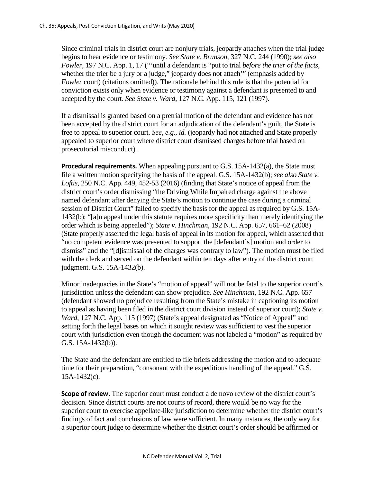Since criminal trials in district court are nonjury trials, jeopardy attaches when the trial judge begins to hear evidence or testimony. *See State v. Brunson*, 327 N.C. 244 (1990); *see also Fowler*, 197 N.C. App. 1, 17 ("'until a defendant is "put to trial *before the trier of the facts*, whether the trier be a jury or a judge," jeopardy does not attach'" (emphasis added by *Fowler* court) (citations omitted)). The rationale behind this rule is that the potential for conviction exists only when evidence or testimony against a defendant is presented to and accepted by the court. *See State v. Ward*, 127 N.C. App. 115, 121 (1997).

If a dismissal is granted based on a pretrial motion of the defendant and evidence has not been accepted by the district court for an adjudication of the defendant's guilt, the State is free to appeal to superior court. *See, e.g., id.* (jeopardy had not attached and State properly appealed to superior court where district court dismissed charges before trial based on prosecutorial misconduct).

**Procedural requirements.** When appealing pursuant to G.S. 15A-1432(a), the State must file a written motion specifying the basis of the appeal. G.S. 15A-1432(b); *see also State v. Loftis*, 250 N.C. App. 449, 452-53 (2016) (finding that State's notice of appeal from the district court's order dismissing "the Driving While Impaired charge against the above named defendant after denying the State's motion to continue the case during a criminal session of District Court" failed to specify the basis for the appeal as required by G.S. 15A-1432(b); "[a]n appeal under this statute requires more specificity than merely identifying the order which is being appealed"); *State v. Hinchman*, 192 N.C. App. 657, 661–62 (2008) (State properly asserted the legal basis of appeal in its motion for appeal, which asserted that "no competent evidence was presented to support the [defendant's] motion and order to dismiss" and the "[d]ismissal of the charges was contrary to law"). The motion must be filed with the clerk and served on the defendant within ten days after entry of the district court judgment. G.S. 15A-1432(b).

Minor inadequacies in the State's "motion of appeal" will not be fatal to the superior court's jurisdiction unless the defendant can show prejudice. *See Hinchman*, 192 N.C. App. 657 (defendant showed no prejudice resulting from the State's mistake in captioning its motion to appeal as having been filed in the district court division instead of superior court); *State v. Ward*, 127 N.C. App. 115 (1997) (State's appeal designated as "Notice of Appeal" and setting forth the legal bases on which it sought review was sufficient to vest the superior court with jurisdiction even though the document was not labeled a "motion" as required by G.S. 15A-1432(b)).

The State and the defendant are entitled to file briefs addressing the motion and to adequate time for their preparation, "consonant with the expeditious handling of the appeal." G.S. 15A-1432(c).

**Scope of review.** The superior court must conduct a de novo review of the district court's decision*.* Since district courts are not courts of record, there would be no way for the superior court to exercise appellate-like jurisdiction to determine whether the district court's findings of fact and conclusions of law were sufficient. In many instances, the only way for a superior court judge to determine whether the district court's order should be affirmed or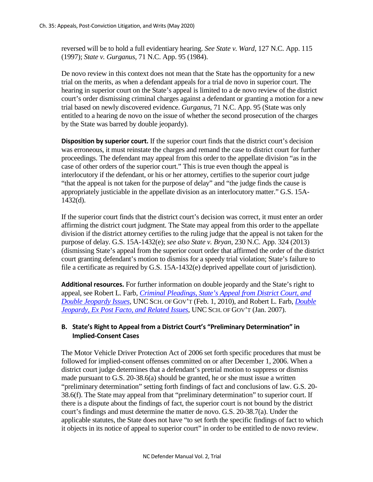reversed will be to hold a full evidentiary hearing. *See State v. Ward*, 127 N.C. App. 115 (1997); *State v. Gurganus*, 71 N.C. App. 95 (1984).

De novo review in this context does not mean that the State has the opportunity for a new trial on the merits, as when a defendant appeals for a trial de novo in superior court. The hearing in superior court on the State's appeal is limited to a de novo review of the district court's order dismissing criminal charges against a defendant or granting a motion for a new trial based on newly discovered evidence. *Gurganus*, 71 N.C. App. 95 (State was only entitled to a hearing de novo on the issue of whether the second prosecution of the charges by the State was barred by double jeopardy).

**Disposition by superior court.** If the superior court finds that the district court's decision was erroneous, it must reinstate the charges and remand the case to district court for further proceedings. The defendant may appeal from this order to the appellate division "as in the case of other orders of the superior court." This is true even though the appeal is interlocutory if the defendant, or his or her attorney, certifies to the superior court judge "that the appeal is not taken for the purpose of delay" and "the judge finds the cause is appropriately justiciable in the appellate division as an interlocutory matter." G.S. 15A-1432(d).

If the superior court finds that the district court's decision was correct, it must enter an order affirming the district court judgment. The State may appeal from this order to the appellate division if the district attorney certifies to the ruling judge that the appeal is not taken for the purpose of delay. G.S. 15A-1432(e); *see also State v. Bryan*, 230 N.C. App. 324 (2013) (dismissing State's appeal from the superior court order that affirmed the order of the district court granting defendant's motion to dismiss for a speedy trial violation; State's failure to file a certificate as required by G.S. 15A-1432(e) deprived appellate court of jurisdiction).

**Additional resources.** For further information on double jeopardy and the State's right to appeal, see Robert L. Farb, *[Criminal Pleadings, State's Appeal from District Court, and](https://www.sog.unc.edu/sites/www.sog.unc.edu/files/additional_files/pleadjep.pdf)  [Double Jeopardy Issues](https://www.sog.unc.edu/sites/www.sog.unc.edu/files/additional_files/pleadjep.pdf)*, UNC SCH. OF GOV'T (Feb. 1, 2010), and Robert L. Farb, *[Double](https://www.sog.unc.edu/sites/www.sog.unc.edu/files/reports/djoverview.pdf)  [Jeopardy, Ex Post Facto, and Related Issues](https://www.sog.unc.edu/sites/www.sog.unc.edu/files/reports/djoverview.pdf)*, UNC SCH. OF GOV'T (Jan. 2007).

# **B. State's Right to Appeal from a District Court's "Preliminary Determination" in Implied-Consent Cases**

The Motor Vehicle Driver Protection Act of 2006 set forth specific procedures that must be followed for implied-consent offenses committed on or after December 1, 2006. When a district court judge determines that a defendant's pretrial motion to suppress or dismiss made pursuant to G.S. 20-38.6(a) should be granted, he or she must issue a written "preliminary determination" setting forth findings of fact and conclusions of law. G.S. 20- 38.6(f). The State may appeal from that "preliminary determination" to superior court. If there is a dispute about the findings of fact, the superior court is not bound by the district court's findings and must determine the matter de novo. G.S. 20-38.7(a). Under the applicable statutes, the State does not have "to set forth the specific findings of fact to which it objects in its notice of appeal to superior court" in order to be entitled to de novo review.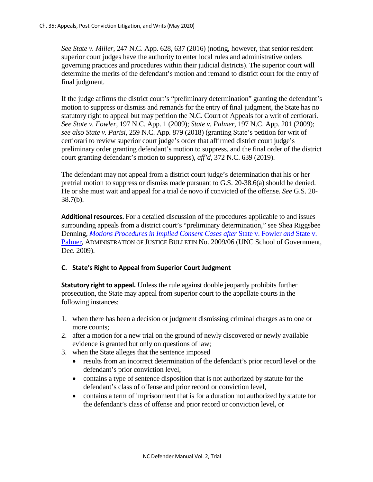*See State v. Miller*, 247 N.C. App. 628, 637 (2016) (noting, however, that senior resident superior court judges have the authority to enter local rules and administrative orders governing practices and procedures within their judicial districts). The superior court will determine the merits of the defendant's motion and remand to district court for the entry of final judgment.

If the judge affirms the district court's "preliminary determination" granting the defendant's motion to suppress or dismiss and remands for the entry of final judgment, the State has no statutory right to appeal but may petition the N.C. Court of Appeals for a writ of certiorari. *See State v. Fowler*, 197 N.C. App. 1 (2009); *State v. Palmer*, 197 N.C. App. 201 (2009); *see also State v. Parisi*, 259 N.C. App. 879 (2018) (granting State's petition for writ of certiorari to review superior court judge's order that affirmed district court judge's preliminary order granting defendant's motion to suppress, and the final order of the district court granting defendant's motion to suppress), *aff'd*, 372 N.C. 639 (2019).

The defendant may not appeal from a district court judge's determination that his or her pretrial motion to suppress or dismiss made pursuant to G.S. 20-38.6(a) should be denied. He or she must wait and appeal for a trial de novo if convicted of the offense. *See* G.S. 20- 38.7(b).

**Additional resources.** For a detailed discussion of the procedures applicable to and issues surrounding appeals from a district court's "preliminary determination," see Shea Riggsbee Denning, *[Motions Procedures in Implied Consent Cases after](https://www.sog.unc.edu/publications/bulletins/motions-procedures-implied-consent-cases-after-state-v-fowler-and-state-v-palmer)* State v. Fowler *and* State v. [Palmer,](https://www.sog.unc.edu/publications/bulletins/motions-procedures-implied-consent-cases-after-state-v-fowler-and-state-v-palmer) ADMINISTRATION OF JUSTICE BULLETIN No. 2009/06 (UNC School of Government, Dec. 2009).

# **C. State's Right to Appeal from Superior Court Judgment**

**Statutory right to appeal.** Unless the rule against double jeopardy prohibits further prosecution, the State may appeal from superior court to the appellate courts in the following instances:

- 1. when there has been a decision or judgment dismissing criminal charges as to one or more counts;
- 2. after a motion for a new trial on the ground of newly discovered or newly available evidence is granted but only on questions of law;
- 3. when the State alleges that the sentence imposed
	- results from an incorrect determination of the defendant's prior record level or the defendant's prior conviction level,
	- contains a type of sentence disposition that is not authorized by statute for the defendant's class of offense and prior record or conviction level,
	- contains a term of imprisonment that is for a duration not authorized by statute for the defendant's class of offense and prior record or conviction level, or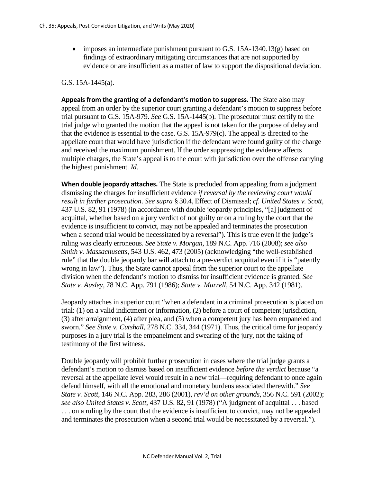• imposes an intermediate punishment pursuant to G.S.  $15A-1340.13(g)$  based on findings of extraordinary mitigating circumstances that are not supported by evidence or are insufficient as a matter of law to support the dispositional deviation.

G.S. 15A-1445(a).

**Appeals from the granting of a defendant's motion to suppress.** The State also may appeal from an order by the superior court granting a defendant's motion to suppress before trial pursuant to G.S. 15A-979. *See* G.S. 15A-1445(b). The prosecutor must certify to the trial judge who granted the motion that the appeal is not taken for the purpose of delay and that the evidence is essential to the case. G.S. 15A-979(c). The appeal is directed to the appellate court that would have jurisdiction if the defendant were found guilty of the charge and received the maximum punishment. If the order suppressing the evidence affects multiple charges, the State's appeal is to the court with jurisdiction over the offense carrying the highest punishment. *Id.*

**When double jeopardy attaches.** The State is precluded from appealing from a judgment dismissing the charges for insufficient evidence *if reversal by the reviewing court would result in further prosecution*. *See supra* § 30.4, Effect of Dismissal; *cf. United States v. Scott*, 437 U.S. 82, 91 (1978) (in accordance with double jeopardy principles, "[a] judgment of acquittal, whether based on a jury verdict of not guilty or on a ruling by the court that the evidence is insufficient to convict, may not be appealed and terminates the prosecution when a second trial would be necessitated by a reversal"). This is true even if the judge's ruling was clearly erroneous. *See State v. Morgan*, 189 N.C. App. 716 (2008); *see also Smith v. Massachusetts*, 543 U.S. 462, 473 (2005) (acknowledging "the well-established rule" that the double jeopardy bar will attach to a pre-verdict acquittal even if it is "patently wrong in law"). Thus, the State cannot appeal from the superior court to the appellate division when the defendant's motion to dismiss for insufficient evidence is granted. *See State v. Ausley*, 78 N.C. App. 791 (1986); *State v. Murrell*, 54 N.C. App. 342 (1981).

Jeopardy attaches in superior court "when a defendant in a criminal prosecution is placed on trial: (1) on a valid indictment or information, (2) before a court of competent jurisdiction, (3) after arraignment, (4) after plea, and (5) when a competent jury has been empaneled and sworn." *See State v. Cutshall*, 278 N.C. 334, 344 (1971). Thus, the critical time for jeopardy purposes in a jury trial is the empanelment and swearing of the jury, not the taking of testimony of the first witness.

Double jeopardy will prohibit further prosecution in cases where the trial judge grants a defendant's motion to dismiss based on insufficient evidence *before the verdict* because "a reversal at the appellate level would result in a new trial—requiring defendant to once again defend himself, with all the emotional and monetary burdens associated therewith." *See State v. Scott*, 146 N.C. App. 283, 286 (2001), *rev'd on other grounds*, 356 N.C. 591 (2002); *see also United States v. Scott*, 437 U.S. 82, 91 (1978) ("A judgment of acquittal . . . based . . . on a ruling by the court that the evidence is insufficient to convict, may not be appealed and terminates the prosecution when a second trial would be necessitated by a reversal.").